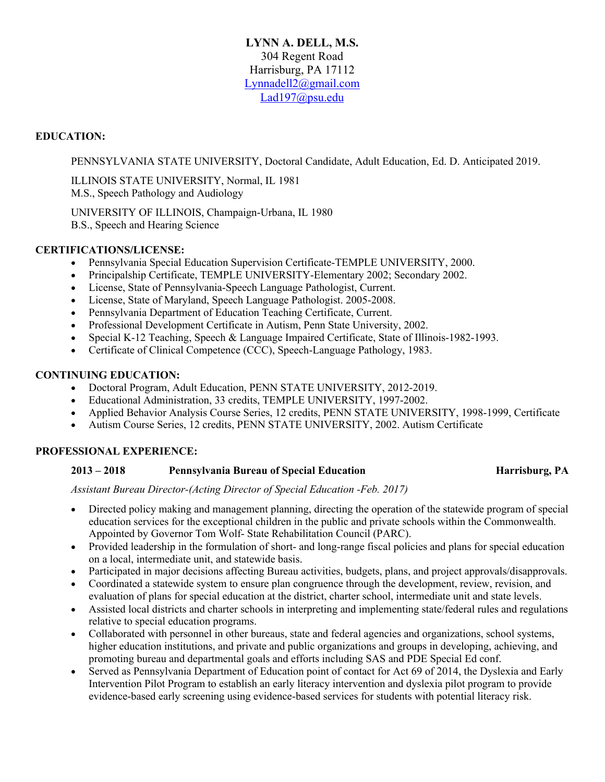# **LYNN A. DELL, M.S.** 304 Regent Road Harrisburg, PA 17112 Lynnadell2@gmail.com Lad197@psu.edu

## **EDUCATION:**

PENNSYLVANIA STATE UNIVERSITY, Doctoral Candidate, Adult Education, Ed. D. Anticipated 2019.

ILLINOIS STATE UNIVERSITY, Normal, IL 1981 M.S., Speech Pathology and Audiology

UNIVERSITY OF ILLINOIS, Champaign-Urbana, IL 1980 B.S., Speech and Hearing Science

## **CERTIFICATIONS/LICENSE:**

- Pennsylvania Special Education Supervision Certificate-TEMPLE UNIVERSITY, 2000.
- Principalship Certificate, TEMPLE UNIVERSITY-Elementary 2002; Secondary 2002.
- License, State of Pennsylvania-Speech Language Pathologist, Current.
- License, State of Maryland, Speech Language Pathologist. 2005-2008.
- Pennsylvania Department of Education Teaching Certificate, Current.
- Professional Development Certificate in Autism, Penn State University, 2002.
- Special K-12 Teaching, Speech & Language Impaired Certificate, State of Illinois-1982-1993.
- Certificate of Clinical Competence (CCC), Speech-Language Pathology, 1983.

### **CONTINUING EDUCATION:**

- Doctoral Program, Adult Education, PENN STATE UNIVERSITY, 2012-2019.
- Educational Administration, 33 credits, TEMPLE UNIVERSITY, 1997-2002.
- Applied Behavior Analysis Course Series, 12 credits, PENN STATE UNIVERSITY, 1998-1999, Certificate
- Autism Course Series, 12 credits, PENN STATE UNIVERSITY, 2002. Autism Certificate

# **PROFESSIONAL EXPERIENCE:**

### **2013 – 2018 Pennsylvania Bureau of Special Education Harrisburg, PA**

*Assistant Bureau Director-(Acting Director of Special Education -Feb. 2017)*

- Directed policy making and management planning, directing the operation of the statewide program of special education services for the exceptional children in the public and private schools within the Commonwealth. Appointed by Governor Tom Wolf- State Rehabilitation Council (PARC).
- Provided leadership in the formulation of short- and long-range fiscal policies and plans for special education on a local, intermediate unit, and statewide basis.
- Participated in major decisions affecting Bureau activities, budgets, plans, and project approvals/disapprovals.
- Coordinated a statewide system to ensure plan congruence through the development, review, revision, and evaluation of plans for special education at the district, charter school, intermediate unit and state levels.
- Assisted local districts and charter schools in interpreting and implementing state/federal rules and regulations relative to special education programs.
- Collaborated with personnel in other bureaus, state and federal agencies and organizations, school systems, higher education institutions, and private and public organizations and groups in developing, achieving, and promoting bureau and departmental goals and efforts including SAS and PDE Special Ed conf.
- Served as Pennsylvania Department of Education point of contact for Act 69 of 2014, the Dyslexia and Early Intervention Pilot Program to establish an early literacy intervention and dyslexia pilot program to provide evidence-based early screening using evidence-based services for students with potential literacy risk.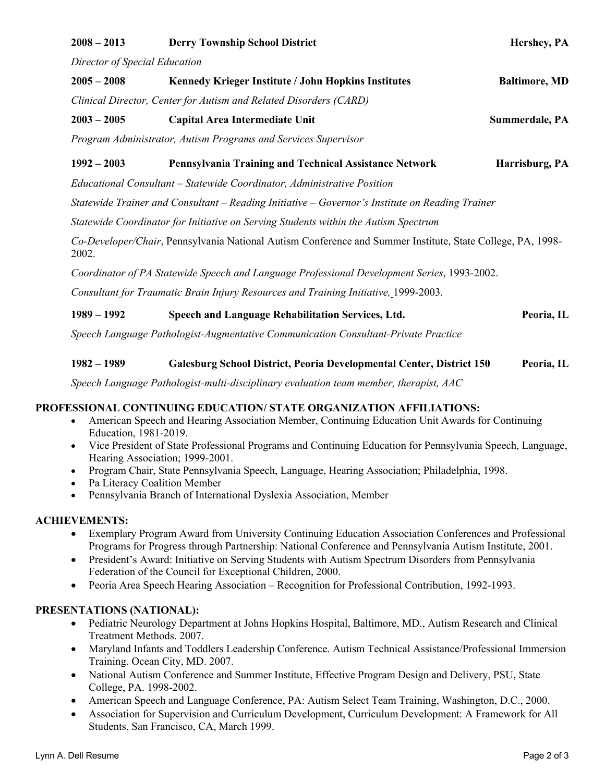| $2008 - 2013$                                                                                                       | <b>Derry Township School District</b>                                                                                                                                                                                                                                                                                  | Hershey, PA          |
|---------------------------------------------------------------------------------------------------------------------|------------------------------------------------------------------------------------------------------------------------------------------------------------------------------------------------------------------------------------------------------------------------------------------------------------------------|----------------------|
| Director of Special Education                                                                                       |                                                                                                                                                                                                                                                                                                                        |                      |
| $2005 - 2008$                                                                                                       | Kennedy Krieger Institute / John Hopkins Institutes                                                                                                                                                                                                                                                                    | <b>Baltimore, MD</b> |
| Clinical Director, Center for Autism and Related Disorders (CARD)                                                   |                                                                                                                                                                                                                                                                                                                        |                      |
| $2003 - 2005$                                                                                                       | Capital Area Intermediate Unit                                                                                                                                                                                                                                                                                         | Summerdale, PA       |
| Program Administrator, Autism Programs and Services Supervisor                                                      |                                                                                                                                                                                                                                                                                                                        |                      |
| $1992 - 2003$                                                                                                       | Pennsylvania Training and Technical Assistance Network                                                                                                                                                                                                                                                                 | Harrisburg, PA       |
| Educational Consultant – Statewide Coordinator, Administrative Position                                             |                                                                                                                                                                                                                                                                                                                        |                      |
| Statewide Trainer and Consultant – Reading Initiative – Governor's Institute on Reading Trainer                     |                                                                                                                                                                                                                                                                                                                        |                      |
| Statewide Coordinator for Initiative on Serving Students within the Autism Spectrum                                 |                                                                                                                                                                                                                                                                                                                        |                      |
| Co-Developer/Chair, Pennsylvania National Autism Conference and Summer Institute, State College, PA, 1998-<br>2002. |                                                                                                                                                                                                                                                                                                                        |                      |
| Coordinator of PA Statewide Speech and Language Professional Development Series, 1993-2002.                         |                                                                                                                                                                                                                                                                                                                        |                      |
| Consultant for Traumatic Brain Injury Resources and Training Initiative, 1999-2003.                                 |                                                                                                                                                                                                                                                                                                                        |                      |
| $1989 - 1992$                                                                                                       | Speech and Language Rehabilitation Services, Ltd.                                                                                                                                                                                                                                                                      | Peoria, IL           |
| Speech Language Pathologist-Augmentative Communication Consultant-Private Practice                                  |                                                                                                                                                                                                                                                                                                                        |                      |
| $1982 - 1989$                                                                                                       | Galesburg School District, Peoria Developmental Center, District 150                                                                                                                                                                                                                                                   | Peoria, IL           |
|                                                                                                                     | Speech Language Pathologist-multi-disciplinary evaluation team member, therapist, AAC                                                                                                                                                                                                                                  |                      |
| $\bullet$<br>Education, 1981-2019.                                                                                  | PROFESSIONAL CONTINUING EDUCATION/ STATE ORGANIZATION AFFILIATIONS:<br>American Speech and Hearing Association Member, Continuing Education Unit Awards for Continuing<br>Vice President of State Professional Programs and Continuing Education for Pennsylvania Speech, Language,<br>Hearing Association; 1999-2001. |                      |

- Program Chair, State Pennsylvania Speech, Language, Hearing Association; Philadelphia, 1998.
- Pa Literacy Coalition Member
- Pennsylvania Branch of International Dyslexia Association, Member

# **ACHIEVEMENTS:**

- Exemplary Program Award from University Continuing Education Association Conferences and Professional Programs for Progress through Partnership: National Conference and Pennsylvania Autism Institute, 2001.
- President's Award: Initiative on Serving Students with Autism Spectrum Disorders from Pennsylvania Federation of the Council for Exceptional Children, 2000.
- Peoria Area Speech Hearing Association Recognition for Professional Contribution, 1992-1993.

# **PRESENTATIONS (NATIONAL):**

- Pediatric Neurology Department at Johns Hopkins Hospital, Baltimore, MD., Autism Research and Clinical Treatment Methods. 2007.
- Maryland Infants and Toddlers Leadership Conference. Autism Technical Assistance/Professional Immersion Training. Ocean City, MD. 2007.
- National Autism Conference and Summer Institute, Effective Program Design and Delivery, PSU, State College, PA. 1998-2002.
- American Speech and Language Conference, PA: Autism Select Team Training, Washington, D.C., 2000.
- Association for Supervision and Curriculum Development, Curriculum Development: A Framework for All Students, San Francisco, CA, March 1999.